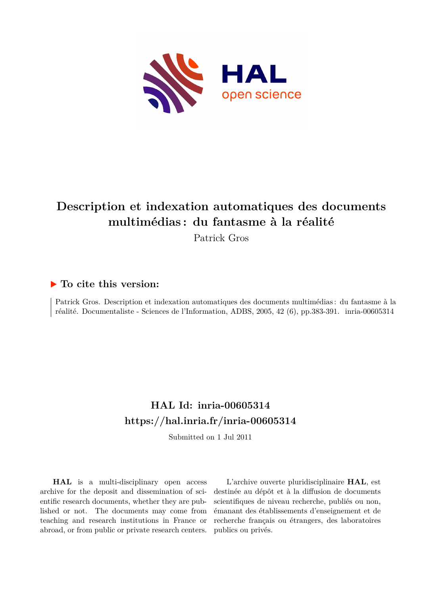

# **Description et indexation automatiques des documents multimédias : du fantasme à la réalité**

Patrick Gros

### **To cite this version:**

Patrick Gros. Description et indexation automatiques des documents multimédias : du fantasme à la réalité. Documentaliste - Sciences de l'Information, ADBS, 2005, 42 (6), pp.383-391. inria-00605314

## **HAL Id: inria-00605314 <https://hal.inria.fr/inria-00605314>**

Submitted on 1 Jul 2011

**HAL** is a multi-disciplinary open access archive for the deposit and dissemination of scientific research documents, whether they are published or not. The documents may come from teaching and research institutions in France or abroad, or from public or private research centers.

L'archive ouverte pluridisciplinaire **HAL**, est destinée au dépôt et à la diffusion de documents scientifiques de niveau recherche, publiés ou non, émanant des établissements d'enseignement et de recherche français ou étrangers, des laboratoires publics ou privés.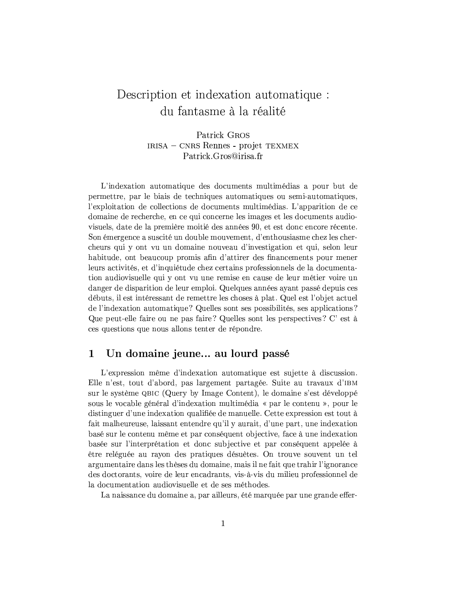## Description et indexation automatique: du fantasme à la réalité

Patrick GROS IRISA - CNRS Rennes - projet TEXMEX Patrick.Gros@irisa.fr

L'indexation automatique des documents multimédias a pour but de permettre, par le biais de techniques automatiques ou semi-automatiques, l'exploitation de collections de documents multimédias. L'apparition de ce domaine de recherche, en ce qui concerne les images et les documents audiovisuels, date de la première moitié des années 90, et est donc encore récente. Son émergence a suscité un double mouvement, d'enthousiasme chez les chercheurs qui y ont vu un domaine nouveau d'investigation et qui, selon leur habitude, ont beaucoup promis afin d'attirer des financements pour mener leurs activités, et d'inquiétude chez certains professionnels de la documentation audiovisuelle qui y ont vu une remise en cause de leur métier voire un danger de disparition de leur emploi. Quelques années ayant passé depuis ces débuts, il est intéressant de remettre les choses à plat. Quel est l'objet actuel de l'indexation automatique? Quelles sont ses possibilités, ses applications? Que peut-elle faire ou ne pas faire? Quelles sont les perspectives? C' est à ces questions que nous allons tenter de répondre.

#### $\mathbf 1$ Un domaine jeune... au lourd passé

L'expression même d'indexation automatique est sujette à discussion. Elle n'est, tout d'abord, pas largement partagée. Suite au travaux d'IBM sur le système QBIC (Query by Image Content), le domaine s'est développé sous le vocable général d'indexation multimédia « par le contenu », pour le distinguer d'une indexation qualifiée de manuelle. Cette expression est tout à fait malheureuse, laissant entendre qu'il y aurait, d'une part, une indexation basé sur le contenu même et par conséquent objective, face à une indexation basée sur l'interprétation et donc subjective et par conséquent appelée à être reléguée au rayon des pratiques désuètes. On trouve souvent un tel argumentaire dans les thèses du domaine, mais il ne fait que trahir l'ignorance des doctorants, voire de leur encadrants, vis-à-vis du milieu professionnel de la documentation audiovisuelle et de ses méthodes.

La naissance du domaine a, par ailleurs, été marquée par une grande effer-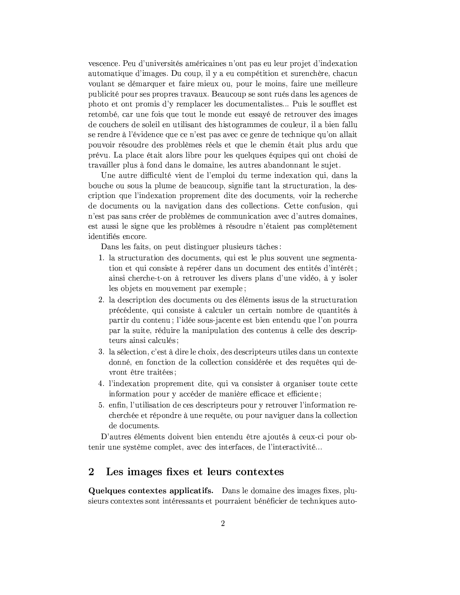vescence. Peu d'universités américaines n'ont pas eu leur projet d'indexation automatique d'images. Du coup, il y a eu compétition et surenchère, chacun voulant se démarquer et faire mieux ou, pour le moins, faire une meilleure publicité pour ses propres travaux. Beaucoup se sont rués dans les agences de photo et ont promis d'y remplacer les documentalistes... Puis le soufflet est retombé, car une fois que tout le monde eut essayé de retrouver des images de couchers de soleil en utilisant des histogrammes de couleur, il a bien fallu se rendre à l'évidence que ce n'est pas avec ce genre de technique qu'on allait pouvoir résoudre des problèmes réels et que le chemin était plus ardu que prévu. La place était alors libre pour les quelques équipes qui ont choisi de travailler plus à fond dans le domaine, les autres abandonnant le sujet.

Une autre difficulté vient de l'emploi du terme indexation qui, dans la bouche ou sous la plume de beaucoup, signifie tant la structuration, la description que l'indexation proprement dite des documents, voir la recherche de documents ou la navigation dans des collections. Cette confusion, qui n'est pas sans créer de problèmes de communication avec d'autres domaines, est aussi le signe que les problèmes à résoudre n'étaient pas complètement identifiés encore.

Dans les faits, on peut distinguer plusieurs tâches:

- 1. la structuration des documents, qui est le plus souvent une segmentation et qui consiste à repérer dans un document des entités d'intérêt; ainsi cherche-t-on à retrouver les divers plans d'une vidéo, à y isoler les objets en mouvement par exemple;
- 2. la description des documents ou des éléments issus de la structuration précédente, qui consiste à calculer un certain nombre de quantités à partir du contenu; l'idée sous-jacente est bien entendu que l'on pourra par la suite, réduire la manipulation des contenus à celle des descripteurs ainsi calculés;
- 3. la sélection, c'est à dire le choix, des descripteurs utiles dans un contexte donné, en fonction de la collection considérée et des requêtes qui devront être traitées;
- 4. l'indexation proprement dite, qui va consister à organiser toute cette information pour y accéder de manière efficace et efficiente;
- 5. enfin, l'utilisation de ces descripteurs pour y retrouver l'information recherchée et répondre à une requête, ou pour naviguer dans la collection de documents.

D'autres éléments doivent bien entendu être ajoutés à ceux-ci pour obtenir une système complet, avec des interfaces, de l'interactivité...

#### $\bf{2}$ Les images fixes et leurs contextes

Quelques contextes applicatifs. Dans le domaine des images fixes, plusieurs contextes sont intéressants et pourraient bénéficier de techniques auto-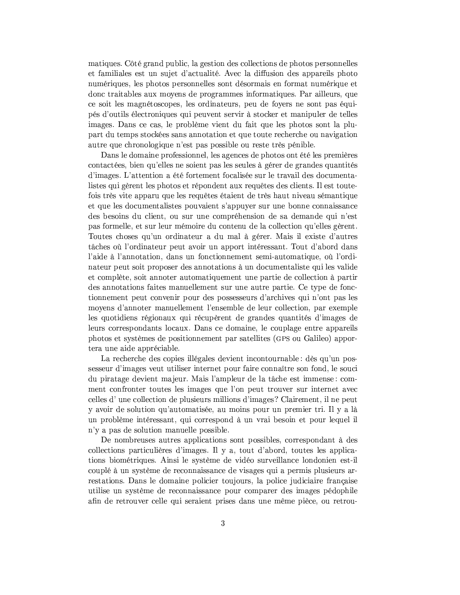matiques. Côté grand public, la gestion des collections de photos personnelles et familiales est un sujet d'actualité. Avec la diffusion des appareils photo numériques, les photos personnelles sont désormais en format numérique et donc traitables aux moyens de programmes informatiques. Par ailleurs, que ce soit les magnétoscopes, les ordinateurs, peu de fovers ne sont pas équipés d'outils électroniques qui peuvent servir à stocker et manipuler de telles images. Dans ce cas, le problème vient du fait que les photos sont la plupart du temps stockées sans annotation et que toute recherche ou navigation autre que chronologique n'est pas possible ou reste très pénible.

Dans le domaine professionnel, les agences de photos ont été les premières contactées, bien qu'elles ne soient pas les seules à gérer de grandes quantités d'images. L'attention a été fortement focalisée sur le travail des documentalistes qui gèrent les photos et répondent aux requêtes des clients. Il est toutefois très vite apparu que les requêtes étaient de très haut niveau sémantique et que les documentalistes pouvaient s'appuyer sur une bonne connaissance des besoins du client, ou sur une compréhension de sa demande qui n'est pas formelle, et sur leur mémoire du contenu de la collection qu'elles gèrent. Toutes choses qu'un ordinateur a du mal à gérer. Mais il existe d'autres tâches où l'ordinateur peut avoir un apport intéressant. Tout d'abord dans l'aide à l'annotation, dans un fonctionnement semi-automatique, où l'ordinateur peut soit proposer des annotations à un documentaliste qui les valides et complète, soit annoter automatiquement une partie de collection à partir des annotations faites manuellement sur une autre partie. Ce type de fonctionnement peut convenir pour des possesseurs d'archives qui n'ont pas les moyens d'annoter manuellement l'ensemble de leur collection, par exemple les quotidiens régionaux qui récupèrent de grandes quantités d'images de leurs correspondants locaux. Dans ce domaine, le couplage entre appareils photos et systèmes de positionnement par satellites (GPS ou Galileo) apportera une aide appréciable.

La recherche des copies illégales devient incontournable : dès qu'un possesseur d'images veut utiliser internet pour faire connaître son fond, le souci du piratage devient majeur. Mais l'ampleur de la tâche est immense: comment confronter toutes les images que l'on peut trouver sur internet avec celles d'une collection de plusieurs millions d'images? Clairement, il ne peut y avoir de solution qu'automatisée, au moins pour un premier tri. Il y a là un problème intéressant, qui correspond à un vrai besoin et pour lequel il n'y a pas de solution manuelle possible.

De nombreuses autres applications sont possibles, correspondant à des collections particulières d'images. Il y a, tout d'abord, toutes les applications biométriques. Ainsi le système de vidéo surveillance londonien est-il couplé à un système de reconnaissance de visages qui a permis plusieurs arrestations. Dans le domaine policier toujours, la police judiciaire française utilise un système de reconnaissance pour comparer des images pédophile afin de retrouver celle qui seraient prises dans une même pièce, ou retrou-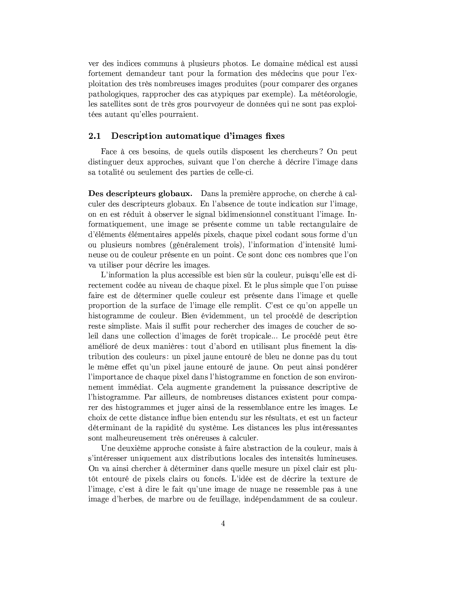ver des indices communs à plusieurs photos. Le domaine médical est aussi fortement demandeur tant pour la formation des médecins que pour l'exploitation des très nombreuses images produites (pour comparer des organes pathologiques, rapprocher des cas atypiques par exemple). La météorologie, les satellites sont de très gros pourvoyeur de données qui ne sont pas exploitées autant qu'elles pourraient.

#### Description automatique d'images fixes  $2.1$

Face à ces besoins, de quels outils disposent les chercheurs? On peut distinguer deux approches, suivant que l'on cherche à décrire l'image dans sa totalité ou seulement des parties de celle-ci.

Des descripteurs globaux. Dans la première approche, on cherche à calculer des descripteurs globaux. En l'absence de toute indication sur l'image. on en est réduit à observer le signal bidimensionnel constituant l'image. Informatiquement, une image se présente comme un table rectangulaire de d'éléments élémentaires appelés pixels, chaque pixel codant sous forme d'un ou plusieurs nombres (généralement trois), l'information d'intensité lumineuse ou de couleur présente en un point. Ce sont donc ces nombres que l'on va utiliser pour décrire les images.

L'information la plus accessible est bien sûr la couleur, puisqu'elle est directement codée au niveau de chaque pixel. Et le plus simple que l'on puisse faire est de déterminer quelle couleur est présente dans l'image et quelle proportion de la surface de l'image elle remplit. C'est ce qu'on appelle un histogramme de couleur. Bien évidemment, un tel procédé de description reste simpliste. Mais il suffit pour rechercher des images de coucher de soleil dans une collection d'images de forêt tropicale... Le procédé peut être amélioré de deux manières : tout d'abord en utilisant plus finement la distribution des couleurs : un pixel jaune entouré de bleu ne donne pas du tout le même effet qu'un pixel jaune entouré de jaune. On peut ainsi pondérer l'importance de chaque pixel dans l'histogramme en fonction de son environnement immédiat. Cela augmente grandement la puissance descriptive de l'histogramme. Par ailleurs, de nombreuses distances existent pour comparer des histogrammes et juger ainsi de la ressemblance entre les images. Le choix de cette distance influe bien entendu sur les résultats, et est un facteur déterminant de la rapidité du système. Les distances les plus intéressantes sont malheureusement très onéreuses à calculer.

Une deuxième approche consiste à faire abstraction de la couleur, mais à s'intéresser uniquement aux distributions locales des intensités lumineuses. On va ainsi chercher à déterminer dans quelle mesure un pixel clair est plutôt entouré de pixels clairs ou foncés. L'idée est de décrire la texture de l'image, c'est à dire le fait qu'une image de nuage ne ressemble pas à une image d'herbes, de marbre ou de feuillage, indépendamment de sa couleur.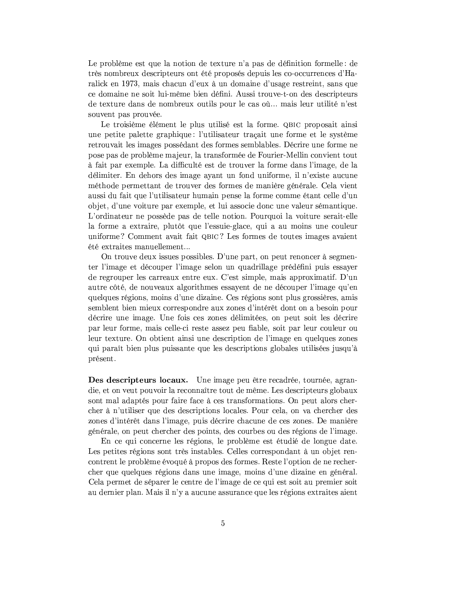Le problème est que la notion de texture n'a pas de définition formelle : de très nombreux descripteurs ont été proposés depuis les co-occurrences d'Haralick en 1973, mais chacun d'eux à un domaine d'usage restreint, sans que ce domaine ne soit lui-même bien défini. Aussi trouve-t-on des descripteurs de texture dans de nombreux outils pour le cas où... mais leur utilité n'est souvent pas prouvée.

Le troisième élément le plus utilisé est la forme. QBIC proposait ainsi une petite palette graphique: l'utilisateur traçait une forme et le système retrouvait les images possédant des formes semblables. Décrire une forme ne pose pas de problème majeur, la transformée de Fourier-Mellin convient tout à fait par exemple. La difficulté est de trouver la forme dans l'image, de la délimiter. En dehors des image ayant un fond uniforme, il n'existe aucune méthode permettant de trouver des formes de manière générale. Cela vient aussi du fait que l'utilisateur humain pense la forme comme étant celle d'un objet, d'une voiture par exemple, et lui associe donc une valeur sémantique. L'ordinateur ne possède pas de telle notion. Pourquoi la voiture serait-elle la forme a extraire, plutôt que l'essuie-glace, qui a au moins une couleur uniforme? Comment avait fait QBIC? Les formes de toutes images avaient été extraites manuellement...

On trouve deux issues possibles. D'une part, on peut renoncer à segmenter l'image et découper l'image selon un quadrillage prédéfini puis essayer de regrouper les carreaux entre eux. C'est simple, mais approximatif. D'un autre côté, de nouveaux algorithmes essayent de ne découper l'image qu'en quelques régions, moins d'une dizaine. Ces régions sont plus grossières, amis semblent bien mieux correspondre aux zones d'intérêt dont on a besoin pour décrire une image. Une fois ces zones délimitées, on peut soit les décrire par leur forme, mais celle-ci reste assez peu fiable, soit par leur couleur ou leur texture. On obtient ainsi une description de l'image en quelques zones qui paraît bien plus puissante que les descriptions globales utilisées jusqu'à présent.

Des descripteurs locaux. Une image peu être recadrée, tournée, agrandie, et on veut pouvoir la reconnaître tout de même. Les descripteurs globaux sont mal adaptés pour faire face à ces transformations. On peut alors chercher à n'utiliser que des descriptions locales. Pour cela, on va chercher des zones d'intérêt dans l'image, puis décrire chacune de ces zones. De manière générale, on peut chercher des points, des courbes ou des régions de l'image.

En ce qui concerne les régions, le problème est étudié de longue date. Les petites régions sont très instables. Celles correspondant à un objet rencontrent le problème évoqué à propos des formes. Reste l'option de ne rechercher que quelques régions dans une image, moins d'une dizaine en général. Cela permet de séparer le centre de l'image de ce qui est soit au premier soit au dernier plan. Mais il n'y a aucune assurance que les régions extraites aient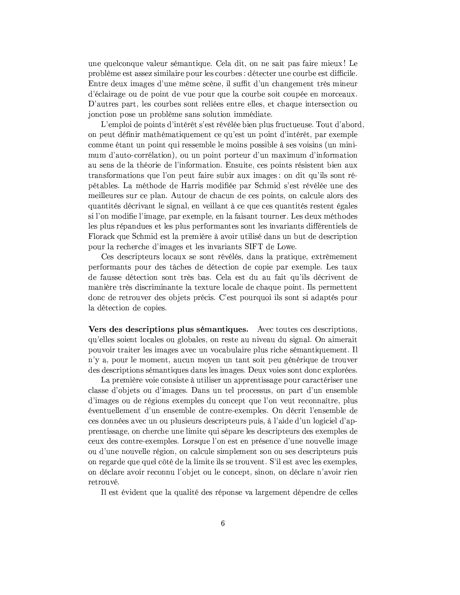une quelconque valeur sémantique. Cela dit, on ne sait pas faire mieux! Le problème est assez similaire pour les courbes : détecter une courbe est difficile. Entre deux images d'une même scène, il suffit d'un changement très mineur d'éclairage ou de point de vue pour que la courbe soit coupée en morceaux. D'autres part, les courbes sont reliées entre elles, et chaque intersection ou jonction pose un problème sans solution immédiate.

L'emploi de points d'intérêt s'est révélée bien plus fructueuse. Tout d'abord, on peut définir mathématiquement ce qu'est un point d'intérêt, par exemple comme étant un point qui ressemble le moins possible à ses voisins (un minimum d'auto-corrélation), ou un point porteur d'un maximum d'information au sens de la théorie de l'information. Ensuite, ces points résistent bien aux transformations que l'on peut faire subir aux images : on dit qu'ils sont répétables. La méthode de Harris modifiée par Schmid s'est révélée une des meilleures sur ce plan. Autour de chacun de ces points, on calcule alors des quantités décrivant le signal, en veillant à ce que ces quantités restent égales si l'on modifie l'image, par exemple, en la faisant tourner. Les deux méthodes les plus répandues et les plus performantes sont les invariants différentiels de Florack que Schmid est la première à avoir utilisé dans un but de description pour la recherche d'images et les invariants SIFT de Lowe.

Ces descripteurs locaux se sont révélés, dans la pratique, extrêmement performants pour des tâches de détection de copie par exemple. Les taux de fausse détection sont très bas. Cela est du au fait qu'ils décrivent de manière très discriminante la texture locale de chaque point. Ils permettent donc de retrouver des objets précis. C'est pourquoi ils sont si adaptés pour la détection de copies.

Vers des descriptions plus sémantiques. Avec toutes ces descriptions, qu'elles soient locales ou globales, on reste au niveau du signal. On aimerait pouvoir traiter les images avec un vocabulaire plus riche sémantiquement. Il n'y a, pour le moment, aucun moyen un tant soit peu générique de trouver des descriptions sémantiques dans les images. Deux voies sont donc explorées.

La première voie consiste à utiliser un apprentissage pour caractériser une classe d'objets ou d'images. Dans un tel processus, on part d'un ensemble d'images ou de régions exemples du concept que l'on veut reconnaître, plus éventuellement d'un ensemble de contre-exemples. On décrit l'ensemble de ces données avec un ou plusieurs descripteurs puis, à l'aide d'un logiciel d'apprentissage, on cherche une limite qui sépare les descripteurs des exemples de ceux des contre-exemples. Lorsque l'on est en présence d'une nouvelle image ou d'une nouvelle région, on calcule simplement son ou ses descripteurs puis on regarde que quel côté de la limite ils se trouvent. S'il est avec les exemples, on déclare avoir reconnu l'objet ou le concept, sinon, on déclare n'avoir rien retrouvé.

Il est évident que la qualité des réponse va largement dépendre de celles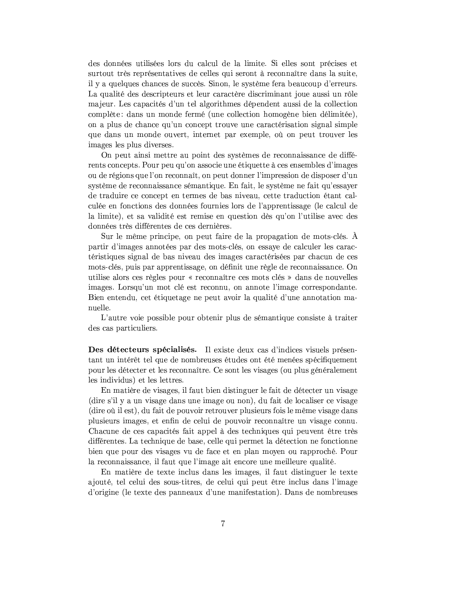des données utilisées lors du calcul de la limite. Si elles sont précises et surtout très représentatives de celles qui seront à reconnaître dans la suite, il y a quelques chances de succès. Sinon, le système fera beaucoup d'erreurs. La qualité des descripteurs et leur caractère discriminant joue aussi un rôle majeur. Les capacités d'un tel algorithmes dépendent aussi de la collection complète: dans un monde fermé (une collection homogène bien délimitée), on a plus de chance qu'un concept trouve une caractérisation signal simple que dans un monde ouvert, internet par exemple, où on peut trouver les images les plus diverses.

On peut ainsi mettre au point des systèmes de reconnaissance de différents concepts. Pour peu qu'on associe une étiquette à ces ensembles d'images ou de régions que l'on reconnaît, on peut donner l'impression de disposer d'un système de reconnaissance sémantique. En fait, le système ne fait qu'essayer de traduire ce concept en termes de bas niveau, cette traduction étant calculée en fonctions des données fournies lors de l'apprentissage (le calcul de la limite), et sa validité est remise en question dès qu'on l'utilise avec des données très différentes de ces dernières.

Sur le même principe, on peut faire de la propagation de mots-clés. A partir d'images annotées par des mots-clés, on essaye de calculer les caractéristiques signal de bas niveau des images caractérisées par chacun de ces mots-clés, puis par apprentissage, on définit une règle de reconnaissance. On utilise alors ces règles pour « reconnaître ces mots clés » dans de nouvelles images. Lorsqu'un mot clé est reconnu, on annote l'image correspondante. Bien entendu, cet étiquetage ne peut avoir la qualité d'une annotation manuelle.

L'autre voie possible pour obtenir plus de sémantique consiste à traiter des cas particuliers.

Des détecteurs spécialisés. Il existe deux cas d'indices visuels présentant un intérêt tel que de nombreuses études ont été menées spécifiquement pour les détecter et les reconnaître. Ce sont les visages (ou plus généralement les individus) et les lettres.

En matière de visages, il faut bien distinguer le fait de détecter un visage (dire s'il y a un visage dans une image ou non), du fait de localiser ce visage (dire où il est), du fait de pouvoir retrouver plusieurs fois le même visage dans plusieurs images, et enfin de celui de pouvoir reconnaître un visage connu. Chacune de ces capacités fait appel à des techniques qui peuvent être très différentes. La technique de base, celle qui permet la détection ne fonctionne bien que pour des visages vu de face et en plan moyen ou rapproché. Pour la reconnaissance, il faut que l'image ait encore une meilleure qualité.

En matière de texte inclus dans les images, il faut distinguer le texte ajouté, tel celui des sous-titres, de celui qui peut être inclus dans l'image d'origine (le texte des panneaux d'une manifestation). Dans de nombreuses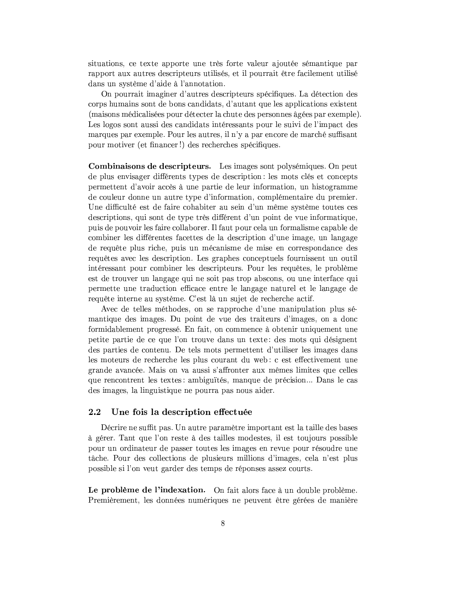situations, ce texte apporte une très forte valeur ajoutée sémantique par rapport aux autres descripteurs utilisés, et il pourrait être facilement utilisé dans un système d'aide à l'annotation.

On pourrait imaginer d'autres descripteurs spécifiques. La détection des corps humains sont de bons candidats, d'autant que les applications existent (maisons médicalisées pour détecter la chute des personnes âgées par exemple). Les logos sont aussi des candidats intéressants pour le suivi de l'impact des marques par exemple. Pour les autres, il n'y a par encore de marché suffisant pour motiver (et financer!) des recherches spécifiques.

Combinaisons de descripteurs. Les images sont polysémiques. On peut de plus envisager différents types de description : les mots clés et concepts permettent d'avoir accès à une partie de leur information, un histogramme de couleur donne un autre type d'information, complémentaire du premier. Une difficulté est de faire cohabiter au sein d'un même système toutes ces descriptions, qui sont de type très différent d'un point de vue informatique, puis de pouvoir les faire collaborer. Il faut pour cela un formalisme capable de combiner les différentes facettes de la description d'une image, un langage de requête plus riche, puis un mécanisme de mise en correspondance des requêtes avec les description. Les graphes conceptuels fournissent un outil intéressant pour combiner les descripteurs. Pour les requêtes, le problème est de trouver un langage qui ne soit pas trop abscons, ou une interface qui permette une traduction efficace entre le langage naturel et le langage de requête interne au système. C'est là un sujet de recherche actif.

Avec de telles méthodes, on se rapproche d'une manipulation plus sémantique des images. Du point de vue des traiteurs d'images, on a donc formidablement progressé. En fait, on commence à obtenir uniquement une petite partie de ce que l'on trouve dans un texte : des mots qui désignent des parties de contenu. De tels mots permettent d'utiliser les images dans les moteurs de recherche les plus courant du web : c est effectivement une grande avancée. Mais on va aussi s'affronter aux mêmes limites que celles que rencontrent les textes : ambiguïtés, manque de précision... Dans le cas des images, la linguistique ne pourra pas nous aider.

#### $2.2\,$ Une fois la description effectuée

Décrire ne suffit pas. Un autre paramètre important est la taille des bases à gérer. Tant que l'on reste à des tailles modestes, il est toujours possible pour un ordinateur de passer toutes les images en revue pour résoudre une tâche. Pour des collections de plusieurs millions d'images, cela n'est plus possible si l'on veut garder des temps de réponses assez courts.

Le problème de l'indexation. On fait alors face à un double problème. Premièrement, les données numériques ne peuvent être gérées de manière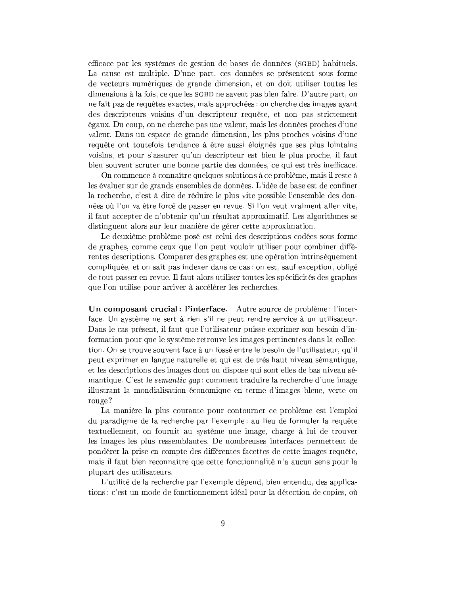efficace par les systèmes de gestion de bases de données (SGBD) habituels. La cause est multiple. D'une part, ces données se présentent sous forme de vecteurs numériques de grande dimension, et on doit utiliser toutes les dimensions à la fois, ce que les SGBD ne savent pas bien faire. D'autre part, on ne fait pas de requêtes exactes, mais approchées : on cherche des images avant des descripteurs voisins d'un descripteur requête, et non pas strictement égaux. Du coup, on ne cherche pas une valeur, mais les données proches d'une valeur. Dans un espace de grande dimension, les plus proches voisins d'une requête ont toutefois tendance à être aussi éloignés que ses plus lointains voisins, et pour s'assurer qu'un descripteur est bien le plus proche, il faut bien souvent scruter une bonne partie des données, ce qui est très inefficace.

On commence à connaître quelques solutions à ce problème, mais il reste à les évaluer sur de grands ensembles de données. L'idée de base est de confiner la recherche, c'est à dire de réduire le plus vite possible l'ensemble des données où l'on va être forcé de passer en revue. Si l'on veut vraiment aller vite, il faut accepter de n'obtenir qu'un résultat approximatif. Les algorithmes se distinguent alors sur leur manière de gérer cette approximation.

Le deuxième problème posé est celui des descriptions codées sous forme de graphes, comme ceux que l'on peut vouloir utiliser pour combiner différentes descriptions. Comparer des graphes est une opération intrinsèquement compliquée, et on sait pas indexer dans ce cas : on est, sauf exception, obligé de tout passer en revue. Il faut alors utiliser toutes les spécificités des graphes que l'on utilise pour arriver à accélérer les recherches.

Un composant crucial: l'interface. Autre source de problème : l'interface. Un système ne sert à rien s'il ne peut rendre service à un utilisateur. Dans le cas présent, il faut que l'utilisateur puisse exprimer son besoin d'information pour que le système retrouve les images pertinentes dans la collection. On se trouve souvent face à un fossé entre le besoin de l'utilisateur, qu'il peut exprimer en langue naturelle et qui est de très haut niveau sémantique, et les descriptions des images dont on dispose qui sont elles de bas niveau sémantique. C'est le *semantic qap* : comment traduire la recherche d'une image illustrant la mondialisation économique en terme d'images bleue, verte ou rouge?

La manière la plus courante pour contourner ce problème est l'emploi du paradigme de la recherche par l'exemple: au lieu de formuler la requête textuellement, on fournit au système une image, charge à lui de trouver les images les plus ressemblantes. De nombreuses interfaces permettent de pondérer la prise en compte des différentes facettes de cette images requête, mais il faut bien reconnaître que cette fonctionnalité n'a aucun sens pour la plupart des utilisateurs.

L'utilité de la recherche par l'exemple dépend, bien entendu, des applications : c'est un mode de fonctionnement idéal pour la détection de copies, où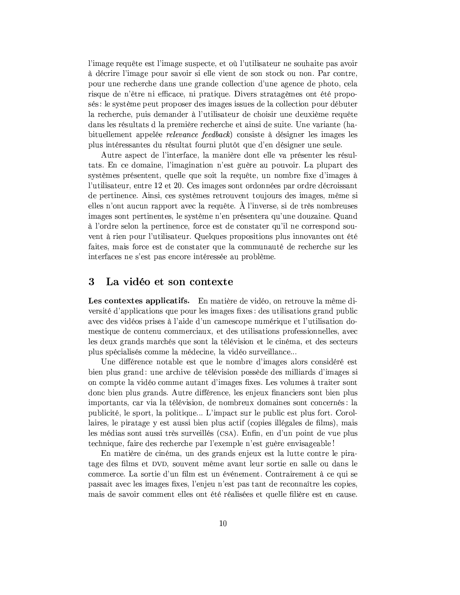l'image requête est l'image suspecte, et où l'utilisateur ne souhaite pas avoir à décrire l'image pour savoir si elle vient de son stock ou non. Par contre, pour une recherche dans une grande collection d'une agence de photo, cela risque de n'être ni efficace, ni pratique. Divers stratagèmes ont été proposés : le système peut proposer des images issues de la collection pour débuter la recherche, puis demander à l'utilisateur de choisir une deuxième requête dans les résultats d'apremière recherche et ainsi de suite. Une variante (habituellement appelée *relevance* feedback) consiste à désigner les images les plus intéressantes du résultat fourni plutôt que d'en désigner une seule.

Autre aspect de l'interface, la manière dont elle va présenter les résultats. En ce domaine, l'imagination n'est guère au pouvoir. La plupart des systèmes présentent, quelle que soit la requête, un nombre fixe d'images à l'utilisateur, entre 12 et 20. Ces images sont ordonnées par ordre décroissant de pertinence. Ainsi, ces systèmes retrouvent toujours des images, même si elles n'ont aucun rapport avec la requête. À l'inverse, si de très nombreuses images sont pertinentes, le système n'en présentera qu'une douzaine. Quand à l'ordre selon la pertinence, force est de constater qu'il ne correspond souvent à rien pour l'utilisateur. Quelques propositions plus innovantes ont été faites, mais force est de constater que la communauté de recherche sur les interfaces ne s'est pas encore intéressée au problème.

#### 3 La vidéo et son contexte

Les contextes applicatifs. En matière de vidéo, on retrouve la même diversité d'applications que pour les images fixes : des utilisations grand public avec des vidéos prises à l'aide d'un camescope numérique et l'utilisation domestique de contenu commerciaux, et des utilisations professionnelles, avec les deux grands marchés que sont la télévision et le cinéma, et des secteurs plus spécialisés comme la médecine, la vidéo surveillance...

Une différence notable est que le nombre d'images alors considéré est bien plus grand: une archive de télévision possède des milliards d'images si on compte la vidéo comme autant d'images fixes. Les volumes à traiter sont donc bien plus grands. Autre différence, les enjeux financiers sont bien plus importants, car via la télévision, de nombreux domaines sont concernés : la publicité, le sport, la politique... L'impact sur le public est plus fort. Corollaires, le piratage y est aussi bien plus actif (copies illégales de films), mais les médias sont aussi très surveillés (CSA). Enfin, en d'un point de vue plus technique, faire des recherche par l'exemple n'est guère envisageable!

En matière de cinéma, un des grands enjeux est la lutte contre le piratage des films et DVD, souvent même avant leur sortie en salle ou dans le commerce. La sortie d'un film est un événement. Contrairement à ce qui se passait avec les images fixes, l'enjeu n'est pas tant de reconnaître les copies, mais de savoir comment elles ont été réalisées et quelle filière est en cause.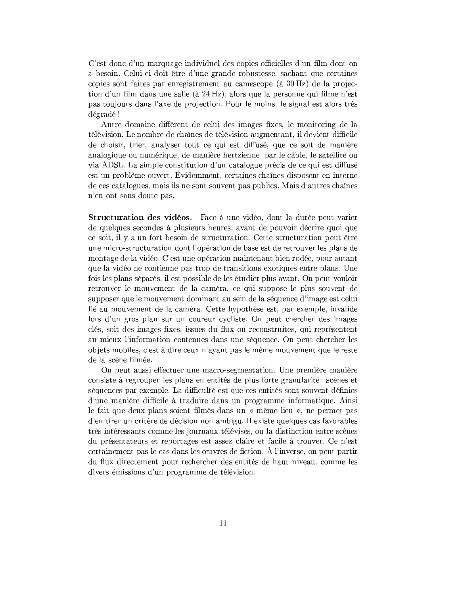C'est donc d'un marquage individuel des copies officielles d'un film dont on a besoin. Celui-ci doit être d'une grande robustesse, sachant que certaines copies sont faites par enregistrement au camescope (à 30 Hz) de la projection d'un film dans une salle (à 24 Hz), alors que la personne qui filme n'est pas toujours dans l'axe de projection. Pour le moins, le signal est alors très dégradé!

Autre domaine différent de celui des images fixes, le monitoring de la télévision. Le nombre de chaînes de télévision augmentant, il devient difficile de choisir, trier, analyser tout ce qui est diffusé, que ce soit de manière analogique ou numérique, de manière hertzienne, par le câble, le satellite ou via ADSL. La simple constitution d'un catalogue précis de ce qui est diffusé est un problème ouvert. Évidemment, certaines chaînes disposent en interne de ces catalogues, mais ils ne sont souvent pas publics. Mais d'autres chaînes n'en ont sans doute pas.

Structuration des vidéos. Face à une vidéo, dont la durée peut varier de quelques secondes à plusieurs heures, avant de pouvoir décrire quoi que ce soit, il y a un fort besoin de structuration. Cette structuration peut être une micro-structuration dont l'opération de base est de retrouver les plans de montage de la vidéo. C'est une opération maintenant bien rodée, pour autant que la vidéo ne contienne pas trop de transitions exotiques entre plans. Une fois les plans séparés, il est possible de les étudier plus avant. On peut vouloir retrouver le mouvement de la caméra, ce qui suppose le plus souvent de supposer que le mouvement dominant au sein de la séquence d'image est celui lié au mouvement de la caméra. Cette hypothèse est, par exemple, invalide lors d'un gros plan sur un coureur cycliste. On peut chercher des images clés, soit des images fixes, issues du flux ou reconstruites, qui représentent au mieux l'information contenues dans une séquence. On peut chercher les objets mobiles, c'est à dire ceux n'avant pas le même mouvement que le reste de la scène filmée.

On peut aussi effectuer une macro-segmentation. Une première manière consiste à regrouper les plans en entités de plus forte granularité : scènes et séquences par exemple. La difficulté est que ces entités sont souvent définies d'une manière difficile à traduire dans un programme informatique. Ainsi le fait que deux plans soient filmés dans un « même lieu », ne permet pas d'en tirer un critère de décision non ambigu. Il existe quelques cas favorables très intéressants comme les journaux télévisés, ou la distinction entre scènes du présentateurs et reportages est assez claire et facile à trouver. Ce n'est certainement pas le cas dans les œuvres de fiction. À l'inverse, on peut partir du flux directement pour rechercher des entités de haut niveau, comme les divers émissions d'un programme de télévision.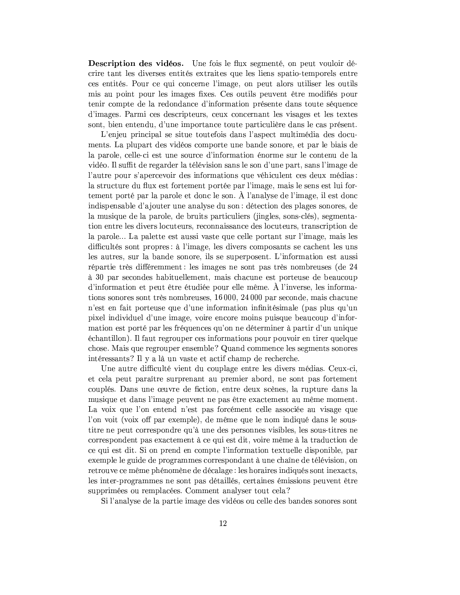**Description des vidéos.** Une fois le flux segmenté, on peut vouloir décrire tant les diverses entités extraites que les liens spatio-temporels entre ces entités. Pour ce qui concerne l'image, on peut alors utiliser les outils mis au point pour les images fixes. Ces outils peuvent être modifiés pour tenir compte de la redondance d'information présente dans toute séquence d'images. Parmi ces descripteurs, ceux concernant les visages et les textes sont, bien entendu, d'une importance toute particulière dans le cas présent.

L'enjeu principal se situe toutefois dans l'aspect multimédia des documents. La plupart des vidéos comporte une bande sonore, et par le biais de la parole, celle-ci est une source d'information énorme sur le contenu de la vidéo. Il suffit de regarder la télévision sans le son d'une part, sans l'image de l'autre pour s'apercevoir des informations que véhiculent ces deux médias : la structure du flux est fortement portée par l'image, mais le sens est lui fortement porté par la parole et donc le son. À l'analyse de l'image, il est donc indispensable d'ajouter une analyse du son : détection des plages sonores, de la musique de la parole, de bruits particuliers (jingles, sons-clés), segmentation entre les divers locuteurs, reconnaissance des locuteurs, transcription de la parole... La palette est aussi vaste que celle portant sur l'image, mais les difficultés sont propres : à l'image, les divers composants se cachent les uns les autres, sur la bande sonore, ils se superposent. L'information est aussi répartie très différemment : les images ne sont pas très nombreuses (de 24 à 30 par secondes habituellement, mais chacune est porteuse de beaucoup d'information et peut être étudiée pour elle même. À l'inverse, les informations sonores sont très nombreuses, 16 000, 24 000 par seconde, mais chacune n'est en fait porteuse que d'une information infinitésimale (pas plus qu'une pixel individuel d'une image, voire encore moins puisque beaucoup d'information est porté par les fréquences qu'on ne déterminer à partir d'un unique échantillon). Il faut regrouper ces informations pour pouvoir en tirer quelque chose. Mais que regrouper ensemble? Quand commence les segments sonores intéressants? Il y a là un vaste et actif champ de recherche.

Une autre difficulté vient du couplage entre les divers médias. Ceux-ci, et cela peut paraître surprenant au premier abord, ne sont pas fortement couplés. Dans une œuvre de fiction, entre deux scènes, la rupture dans la musique et dans l'image peuvent ne pas être exactement au même moment. La voix que l'on entend n'est pas forcément celle associée au visage que l'on voit (voix off par exemple), de même que le nom indiqué dans le soustitre ne peut correspondre qu'à une des personnes visibles, les sous-titres ne correspondent pas exactement à ce qui est dit, voire même à la traduction de ce qui est dit. Si on prend en compte l'information textuelle disponible, par exemple le guide de programmes correspondant à une chaîne de télévision, on retrouve ce même phénomène de décalage : les horaires indiqués sont inexacts, les inter-programmes ne sont pas détaillés, certaines émissions peuvent être supprimées ou remplacées. Comment analyser tout cela?

Si l'analyse de la partie image des vidéos ou celle des bandes sonores sont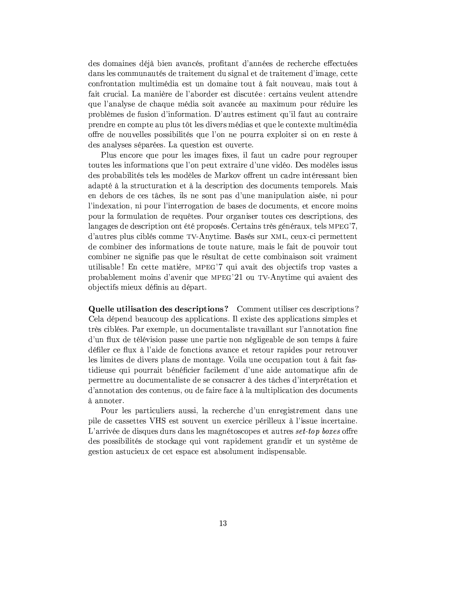des domaines déjà bien avancés, profitant d'années de recherche effectuées dans les communautés de traitement du signal et de traitement d'image, cette confrontation multimédia est un domaine tout à fait nouveau, mais tout à fait crucial. La manière de l'aborder est discutée : certains veulent attendre que l'analyse de chaque média soit avancée au maximum pour réduire les problèmes de fusion d'information. D'autres estiment qu'il faut au contraire prendre en compte au plus tôt les divers médias et que le contexte multimédia offre de nouvelles possibilités que l'on ne pourra exploiter si on en reste à des analyses séparées. La question est ouverte.

Plus encore que pour les images fixes, il faut un cadre pour regrouper toutes les informations que l'on peut extraire d'une vidéo. Des modèles issus des probabilités tels les modèles de Markov offrent un cadre intéressant bien adapté à la structuration et à la description des documents temporels. Mais en debors de ces tâches, ils ne sont pas d'une manipulation aisée, ni pour l'indexation, ni pour l'interrogation de bases de documents, et encore moins pour la formulation de requêtes. Pour organiser toutes ces descriptions, des langages de description ont été proposés. Certains très généraux, tels MPEG'7. d'autres plus ciblés comme TV-Anytime. Basés sur XML, ceux-ci permettent de combiner des informations de toute nature, mais le fait de pouvoir tout combiner ne signifie pas que le résultat de cette combinaison soit vraiment utilisable! En cette matière, MPEG'7 qui avait des objectifs trop vastes a probablement moins d'avenir que MPEG'21 ou TV-Anytime qui avaient des objectifs mieux définis au départ.

Quelle utilisation des descriptions? Comment utiliser ces descriptions? Cela dépend beaucoup des applications. Il existe des applications simples et très ciblées. Par exemple, un documentaliste travaillant sur l'annotation fine d'un flux de télévision passe une partie non négligeable de son temps à faire défiler ce flux à l'aide de fonctions avance et retour rapides pour retrouver les limites de divers plans de montage. Voila une occupation tout à fait fastidieuse qui pourrait bénéficier facilement d'une aide automatique afin de permettre au documentaliste de se consacrer à des tâches d'interprétation et d'annotation des contenus, ou de faire face à la multiplication des documents à annoter.

Pour les particuliers aussi, la recherche d'un enregistrement dans une pile de cassettes VHS est souvent un exercice périlleux à l'issue incertaine. L'arrivée de disques durs dans les magnétoscopes et autres set-top boxes offre des possibilités de stockage qui vont rapidement grandir et un système de gestion astucieux de cet espace est absolument indispensable.